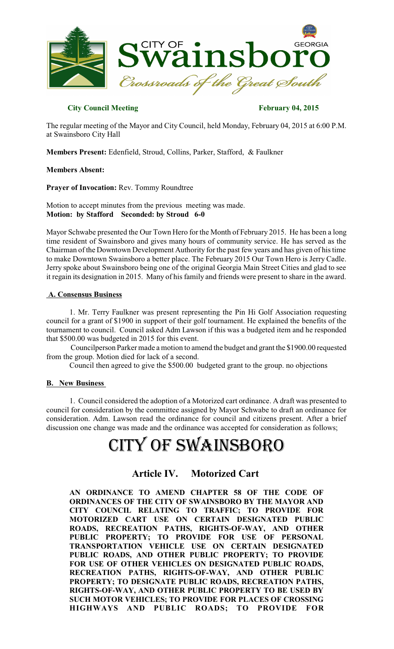

## **City Council Meeting February 04, 2015**

The regular meeting of the Mayor and City Council, held Monday, February 04, 2015 at 6:00 P.M. at Swainsboro City Hall

**Members Present:** Edenfield, Stroud, Collins, Parker, Stafford, & Faulkner

### **Members Absent:**

**Prayer of Invocation:** Rev. Tommy Roundtree

Motion to accept minutes from the previous meeting was made. **Motion: by Stafford Seconded: by Stroud 6-0**

Mayor Schwabe presented the Our Town Hero for the Month of February 2015. He has been a long time resident of Swainsboro and gives many hours of community service. He has served as the Chairman of the Downtown Development Authority for the past few years and has given of histime to make Downtown Swainsboro a better place. The February 2015 Our Town Hero is Jerry Cadle. Jerry spoke about Swainsboro being one of the original Georgia Main Street Cities and glad to see it regain its designation in 2015. Many of his family and friends were present to share in the award.

### **A. Consensus Business**

1. Mr. Terry Faulkner was present representing the Pin Hi Golf Association requesting council for a grant of \$1900 in support of their golf tournament. He explained the benefits of the tournament to council. Council asked Adm Lawson if this was a budgeted item and he responded that \$500.00 was budgeted in 2015 for this event.

Councilperson Parker made a motion to amend the budget and grant the \$1900.00 requested from the group. Motion died for lack of a second.

Council then agreed to give the \$500.00 budgeted grant to the group. no objections

### **B. New Business**

1. Council considered the adoption of a Motorized cart ordinance. A draft was presented to council for consideration by the committee assigned by Mayor Schwabe to draft an ordinance for consideration. Adm. Lawson read the ordinance for council and citizens present. After a brief discussion one change was made and the ordinance was accepted for consideration as follows;

# CITY OF SWAINSBORO

## **Article IV. Motorized Cart**

**AN ORDINANCE TO AMEND CHAPTER 58 OF THE CODE OF ORDINANCES OF THE CITY OF SWAINSBORO BY THE MAYOR AND CITY COUNCIL RELATING TO TRAFFIC; TO PROVIDE FOR MOTORIZED CART USE ON CERTAIN DESIGNATED PUBLIC ROADS, RECREATION PATHS, RIGHTS-OF-WAY, AND OTHER PUBLIC PROPERTY; TO PROVIDE FOR USE OF PERSONAL TRANSPORTATION VEHICLE USE ON CERTAIN DESIGNATED PUBLIC ROADS, AND OTHER PUBLIC PROPERTY; TO PROVIDE FOR USE OF OTHER VEHICLES ON DESIGNATED PUBLIC ROADS, RECREATION PATHS, RIGHTS-OF-WAY, AND OTHER PUBLIC PROPERTY; TO DESIGNATE PUBLIC ROADS, RECREATION PATHS, RIGHTS-OF-WAY, AND OTHER PUBLIC PROPERTY TO BE USED BY SUCH MOTOR VEHICLES; TO PROVIDE FOR PLACES OF CROSSING HIGHWAYS AND PUBLIC ROADS; TO PROVIDE FOR**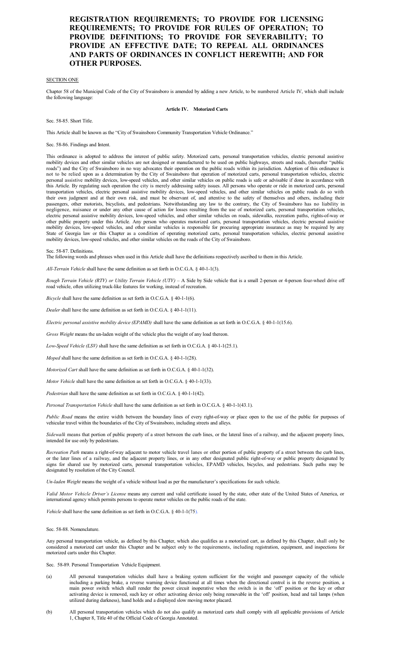#### **REGISTRATION REQUIREMENTS; TO PROVIDE FOR LICENSING REQUIREMENTS; TO PROVIDE FOR RULES OF OPERATION; TO PROVIDE DEFINITIONS; TO PROVIDE FOR SEVERABILITY; TO PROVIDE AN EFFECTIVE DATE; TO REPEAL ALL ORDINANCES AND PARTS OF ORDINANCES IN CONFLICT HEREWITH; AND FOR OTHER PURPOSES.**

#### SECTION ONE

Chapter 58 of the Municipal Code of the City of Swainsboro is amended by adding a new Article, to be numbered Article IV, which shall include the following language:

**Article IV. Motorized Carts**

Sec. 58-85. Short Title.

This Article shall be known as the "City of Swainsboro Community Transportation Vehicle Ordinance."

Sec. 58-86. Findings and Intent.

This ordinance is adopted to address the interest of public safety. Motorized carts, personal transportation vehicles, electric personal assistive mobility devices and other similar vehicles are not designed or manufactured to be used on public highways, streets and roads, (hereafter "public roads") and the City of Swainsboro in no way advocates their operation on th and the City of Swainsboro in no way advocates their operation on the public roads within its jurisdiction. Adoption of this ordinance is not to be relied upon as a determination by the City of Swainsboro that operation of motorized carts, personal transportation vehicles, electric personal assistive mobility devices, low-speed vehicles, and other similar vehicles on public roads is safe or advisable if done in accordance with this Article. By regulating such operation the city is merely addressing safety issues. All persons who operate or ride in motorized carts, personal transportation vehicles, electric personal assistive mobility devices, low-speed vehicles, and other similar vehicles on public roads do so with their own judgment and at their own risk, and must be observant of, and attentive to the safety of themselves and others, including their passengers, other motorists, bicyclists, and pedestrians. Notwithstanding any law to the contrary, the City of Swainsboro has no liability in negligence, nuisance or under any other cause of action for losses resulting from the use of motorized carts, personal transportation vehicles, electric personal assistive mobility devices, low-speed vehicles, and other similar vehicles on roads, sidewalks, recreation paths, rights-of-way or other public property under this Article. Any person who operates motorized carts, personal transportation vehicles, electric personal assistive mobility devices, low-speed vehicles, and other similar vehicles is responsible for procuring appropriate insurance as may be required by any State of Georgia law or this Chapter as a condition of operating motorized carts, personal transportation vehicles, electric personal assistive mobility devices, low-speed vehicles, and other similar vehicles on the roads of the City of Swainsboro.

#### Sec. 58-87. Definitions.

The following words and phrases when used in this Article shall have the definitions respectively ascribed to them in this Article.

*All-Terrain Vehicle* shall have the same definition as set forth in O.C.G.A. § 40-1-1(3).

*Rough Terrain Vehicle (RTV) or Utility Terrain Vehicle (UTV) –* A Side by Side vehicle that is a small 2-person or 4-person four-wheel drive off road vehicle, often utilizing truck-like features for working, instead of recreation.

*Bicycle* shall have the same definition as set forth in O.C.G.A. § 40-1-1(6).

*Dealer* shall have the same definition as set forth in O.C.G.A. § 40-1-1(11).

*Electric personal assistive mobility device (EPAMD)* shall have the same definition as set forth in O.C.G.A. § 40-1-1(15.6).

*Gross Weight* means the un-laden weight of the vehicle plus the weight of any load thereon.

*Low-Speed Vehicle (LSV)* shall have the same definition as set forth in O.C.G.A. § 40-1-1(25.1).

*Moped* shall have the same definition as set forth in O.C.G.A. § 40-1-1(28).

*Motorized Cart* shall have the same definition as set forth in O.C.G.A. § 40-1-1(32).

*Motor Vehicle* shall have the same definition as set forth in O.C.G.A. § 40-1-1(33).

*Pedestrian* shall have the same definition as set forth in O.C.G.A. § 40-1-1(42).

*Personal Transportation Vehicle* shall have the same definition as set forth in O.C.G.A. § 40-1-1(43.1).

*Public Road* means the entire width between the boundary lines of every right-of-way or place open to the use of the public for purposes of vehicular travel within the boundaries of the City of Swainsboro, including streets and alleys.

*Sidewalk* means that portion of public property of a street between the curb lines, or the lateral lines of a railway, and the adjacent property lines, intended for use only by pedestrians.

*Recreation Path* means a right-of-way adjacent to motor vehicle travel lanes or other portion of public property of a street between the curb lines, or the later lines of a railway, and the adjacent property lines, or in any other designated public right-of-way or public property designated by signs for shared use by motorized carts, personal transportation vehicles, EPAMD vehicles, bicycles, and pedestrians. Such paths may be designated by resolution of the City Council.

*Un-laden Weight* means the weight of a vehicle without load as per the manufacturer's specifications for such vehicle.

*Valid Motor Vehicle Driver's License* means any current and valid certificate issued by the state, other state of the United States of America, or international agency which permits persons to operate motor vehicles on the public roads of the state.

*Vehicle* shall have the same definition as set forth in  $O \n\tilde{\text{C}}$  G A  $\tilde{\text{S}}$  40-1-1(75).

Sec. 58-88. Nomenclature.

Any personal transportation vehicle, as defined by this Chapter, which also qualifies as a motorized cart, as defined by this Chapter, shall only be considered a motorized cart under this Chapter and be subject only to the requirements, including registration, equipment, and inspections for motorized carts under this Chapter.

- Sec. 58-89. Personal Transportation Vehicle Equipment.
- (a) All personal transportation vehicles shall have a braking system sufficient for the weight and passenger capacity of the vehicle including a parking brake, a reverse warning device functional at all times when the directional control is in the reverse position, a main power switch which shall render the power circuit inoperative when the switch is in the 'off' position or the key or other activating device is removed, such key or other activating device only being removable in the 'off' position, head and tail lamps (when utilized during darkness), hand holds and a displayed slow moving motor placard.
- (b) All personal transportation vehicles which do not also qualify as motorized carts shall comply with all applicable provisions of Article 1, Chapter 8, Title 40 of the Official Code of Georgia Annotated.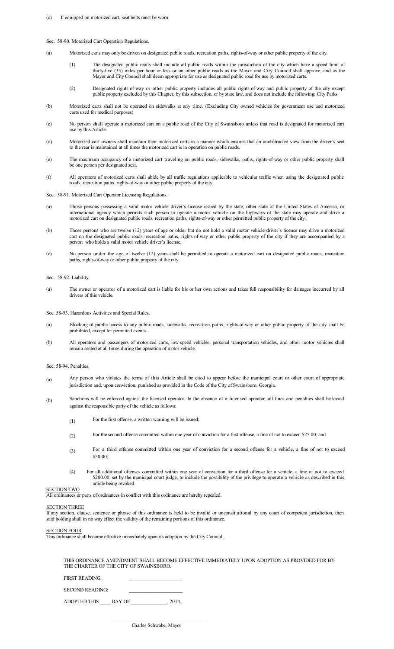- (c) If equipped on motorized cart, seat belts must be worn.
- Sec. 58-90. Motorized Cart Operation Regulations.
- (a) Motorized carts may only be driven on designated public roads, recreation paths, rights-of-way or other public property of the city.
	- (1) The designated public roads shall include all public roads within the jurisdiction of the city which have a speed limit of thirty-five (35) miles per hour or less or on other public roads as the Mayor and City Council shall approve, and as the Mayor and City Council shall deem appropriate for use as designated public road for use by motorized carts.
	- (2) Designated rights-of-way or other public property includes all public rights-of-way and public property of the city except public property excluded by this Chapter, by this subsection, or by state law, and does not include the following: City Parks
- (b) Motorized carts shall not be operated on sidewalks at any time. (Excluding City owned vehicles for government use and motorized carts used for medical purposes)
- (c) No person shall operate a motorized cart on a public road of the City of Swainsboro unless that road is designated for motorized cart use by this Article
- (d) Motorized cart owners shall maintain their motorized carts in a manner which ensures that an unobstructed view from the driver's seat to the rear is maintained at all times the motorized cart is in operation on public roads.
- (e) The maximum occupancy of a motorized cart traveling on public roads, sidewalks, paths, rights-of-way or other public property shall be one person per designated seat.
- (f) All operators of motorized carts shall abide by all traffic regulations applicable to vehicular traffic when using the designated public roads, recreation paths, rights-of-way or other public property of the city.

Sec. 58-91. Motorized Cart Operator Licensing Regulations.

- (a) Those persons possessing a valid motor vehicle driver's license issued by the state, other state of the United States of America, or international agency which permits such person to operate a motor vehicle on the highways of the state may operate and drive a motorized cart on designated public roads, recreation paths, rights-of-way or other permitted public property of the city.
- (b) Those persons who are twelve (12) years of age or older but do not hold a valid motor vehicle driver's license may drive a motorized cart on the designated public roads, recreation paths, rights-of-way or other public property of the city if they are accompanied by a person who holds a valid motor vehicle driver's license.
- (c) No person under the age of twelve (12) years shall be permitted to operate a motorized cart on designated public roads, recreation paths, rights-of-way or other public property of the city.
- Sec. 58-92. Liability.
- (a) The owner or operator of a motorized cart is liable for his or her own actions and takes full responsibility for damages inccurred by all drivers of this vehicle.

Sec. 58-93. Hazardous Activities and Special Rules.

- (a) Blocking of public access to any public roads, sidewalks, recreation paths, rights-of-way or other public property of the city shall be prohibited, except for permitted events.
- (b) All operators and passengers of motorized carts, low-speed vehicles, personal transportation vehicles, and other motor vehicles shall remain seated at all times during the operation of motor vehicle.
- Sec. 58-94. Penalties.
- (a) Any person who violates the terms of this Article shall be cited to appear before the municipal court or other court of appropriate jurisdiction and, upon conviction, punished as provided in the Code of the City of Swainsboro, Georgia.
- (b) Sanctions will be enforced against the licensed operator. In the absence of a licensed operator, all fines and penalties shall be levied against the responsible party of the vehicle as follows:
	- (1) For the first offense, a written warning will be issued;
	- (2) For the second offense committed within one year of conviction for a first offense, a fine of not to exceed \$25.00; and
	- (3) For a third offense committed within one year of conviction for a second offense for a vehicle, a fine of not to exceed \$50.00;
	- (4) For all additional offenses committed within one year of conviction for a third offense for a vehicle, a fine of not to exceed \$200.00, set by the municipal court judge, to include the possibility of the privilege to operate a vehicle as described in this article being revoked.

All ordinances or parts of ordinances in conflict with this ordinance are hereby repealed.

#### SECTION THREE

SECTION TWO

If any section, clause, sentence or phrase of this ordinance is held to be invalid or unconstitutional by any court of competent jurisdiction, then said holding shall in no way effect the validity of the remaining portions of this ordinance.

#### SECTION FOUR

This ordinance shall become effective immediately upon its adoption by the City Council.

THIS ORDINANCE AMENDMENT SHALL BECOME EFFECTIVE IMMEDIATELY UPON ADOPTION AS PROVIDED FOR BY THE CHARTER OF THE CITY OF SWAINSBORO.

FIRST READING:

SECOND READING:

ADOPTED THIS DAY OF , 2014.

 $\mathcal{L}_\text{max} = \mathcal{L}_\text{max} = \mathcal{L}_\text{max} = \mathcal{L}_\text{max} = \mathcal{L}_\text{max} = \mathcal{L}_\text{max} = \mathcal{L}_\text{max}$ 

Charles Schwabe, Mayor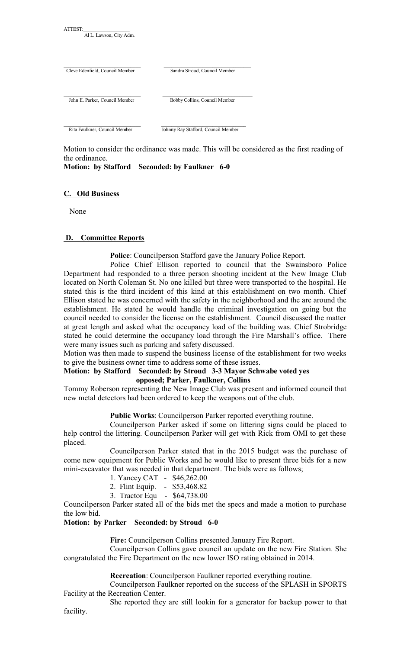| Al L. Lawson, City Adm.         |                                     |
|---------------------------------|-------------------------------------|
| Cleve Edenfield, Council Member | Sandra Stroud, Council Member       |
| John E. Parker, Council Member  | Bobby Collins, Council Member       |
| Rita Faulkner, Council Member   | Johnny Ray Stafford, Council Member |

Motion to consider the ordinance was made. This will be considered as the first reading of the ordinance.

## **Motion: by Stafford Seconded: by Faulkner 6-0**

### **C. Old Business**

ATTEST:\_\_\_\_\_\_\_\_\_\_\_\_\_\_\_\_\_\_

None

### **D. Committee Reports**

**Police**: Councilperson Stafford gave the January Police Report.

Police Chief Ellison reported to council that the Swainsboro Police Department had responded to a three person shooting incident at the New Image Club located on North Coleman St. No one killed but three were transported to the hospital. He stated this is the third incident of this kind at this establishment on two month. Chief Ellison stated he was concerned with the safety in the neighborhood and the are around the establishment. He stated he would handle the criminal investigation on going but the council needed to consider the license on the establishment. Council discussed the matter at great length and asked what the occupancy load of the building was. Chief Strobridge stated he could determine the occupancy load through the Fire Marshall's office. There were many issues such as parking and safety discussed.

Motion was then made to suspend the business license of the establishment for two weeks to give the business owner time to address some of these issues.

#### **Motion: by Stafford Seconded: by Stroud 3-3 Mayor Schwabe voted yes opposed; Parker, Faulkner, Collins**

Tommy Roberson representing the New Image Club was present and informed council that new metal detectors had been ordered to keep the weapons out of the club.

#### **Public Works**: Councilperson Parker reported everything routine.

Councilperson Parker asked if some on littering signs could be placed to help control the littering. Councilperson Parker will get with Rick from OMI to get these placed.

Councilperson Parker stated that in the 2015 budget was the purchase of come new equipment for Public Works and he would like to present three bids for a new mini-excavator that was needed in that department. The bids were as follows;

1. Yancey CAT - \$46,262.00

- 2. Flint Equip. \$53,468.82
- 3. Tractor Equ \$64,738.00

Councilperson Parker stated all of the bids met the specs and made a motion to purchase the low bid.

#### **Motion: by Parker Seconded: by Stroud 6-0**

**Fire:** Councilperson Collins presented January Fire Report.

Councilperson Collins gave council an update on the new Fire Station. She congratulated the Fire Department on the new lower ISO rating obtained in 2014.

**Recreation**: Councilperson Faulkner reported everything routine.

Councilperson Faulkner reported on the success of the SPLASH in SPORTS Facility at the Recreation Center.

She reported they are still lookin for a generator for backup power to that facility.